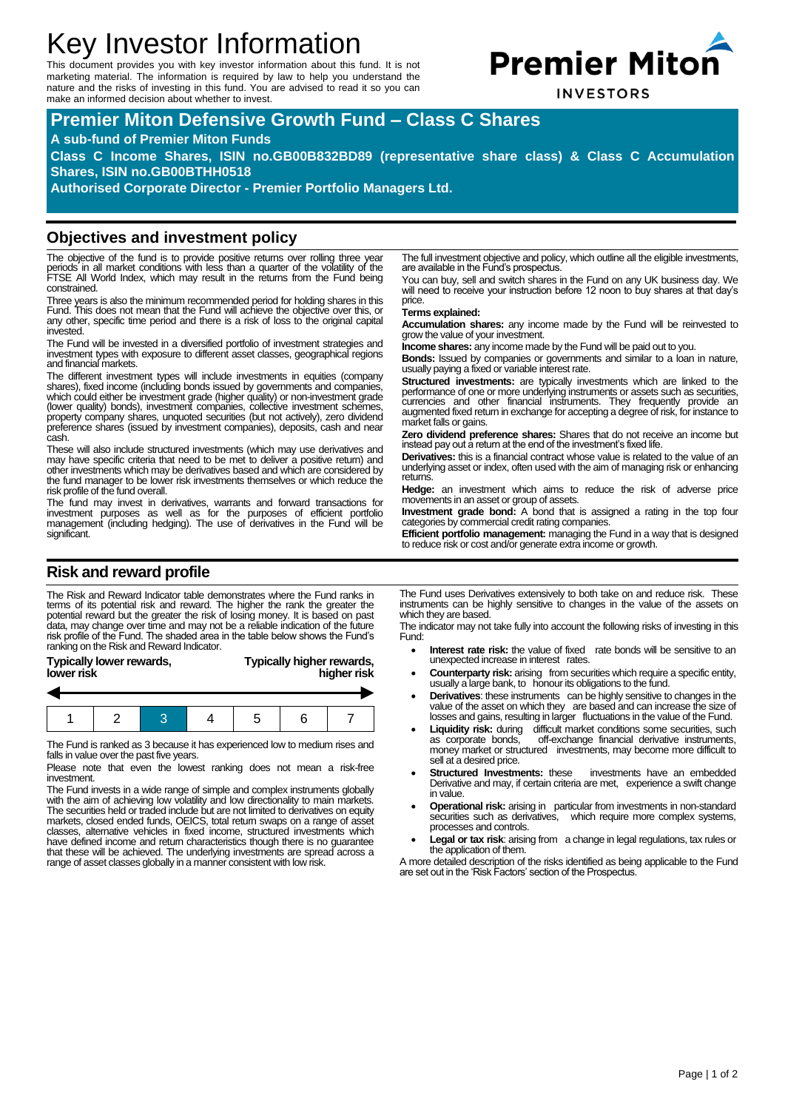# Key Investor Information

This document provides you with key investor information about this fund. It is not marketing material. The information is required by law to help you understand the nature and the risks of investing in this fund. You are advised to read it so you can make an informed decision about whether to invest.



**INVESTORS** 

# **Premier Miton Defensive Growth Fund – Class C Shares**

#### **A sub-fund of Premier Miton Funds**

**Class C Income Shares, ISIN no.GB00B832BD89 (representative share class) & Class C Accumulation Shares, ISIN no.GB00BTHH0518**

**Authorised Corporate Director - Premier Portfolio Managers Ltd.**

#### **Objectives and investment policy**

The objective of the fund is to provide positive returns over rolling three year periods in all market conditions with less than a quarter of the volatility of the FTSE All World Index, which may result in the returns from the Fund being constrained.

Three years is also the minimum recommended period for holding shares in this Fund. This does not mean that the Fund will achieve the objective over this, or any other, specific time period and there is a risk of loss to the original capital invested.

The Fund will be invested in a diversified portfolio of investment strategies and investment types with exposure to different asset classes, geographical regions and financial markets.

The different investment types will include investments in equities (company shares), fixed income (including bonds issued by governments and companies,<br>which could either be investment grade (higher quality) or non-investment grade<br>(lower quality) bonds), investment companies, collective investmen property company shares, unquoted securities (but not actively), zero dividend preference shares (issued by investment companies), deposits, cash and near cash.

These will also include structured investments (which may use derivatives and may have specific criteria that need to be met to deliver a positive return) and other investments which may be derivatives based and which are considered by the fund manager to be lower risk investments themselves or which reduce the risk profile of the fund overall.

The fund may invest in derivatives, warrants and forward transactions for investment purposes as well as for the purposes of efficient portfolio management (including hedging). The use of derivatives in the Fund will be significant.

#### **Risk and reward profile**

The Risk and Reward Indicator table demonstrates where the Fund ranks in terms of its potential risk and reward. The higher the rank the greater the potential reward but the greater the risk of losing money. It is based on past<br>data, may change over time and may not be a reliable indication of the future<br>risk profile of the Fund. The shaded area in the table below show ranking on the Risk and Reward Indicator.

| Typically lower rewards, |  |
|--------------------------|--|
| lower risk               |  |

**Typically higher rewards, lower risk higher risk**

The Fund is ranked as 3 because it has experienced low to medium rises and falls in value over the past five years.

Please note that even the lowest ranking does not mean a risk-free investment.

The Fund invests in a wide range of simple and complex instruments globally with the aim of achieving low volatility and low directionality to main markets.<br>The securities held or traded include but are not limited to derivatives on equity<br>markets, closed ended funds, OEICS, total return swaps on classes, alternative vehicles in fixed income, structured investments which have defined income and return characteristics though there is no guarantee that these will be achieved. The underlying investments are spread across a range of asset classes globally in a manner consistent with low risk.

The full investment objective and policy, which outline all the eligible investments, are available in the Fund's prospectus.

You can buy, sell and switch shares in the Fund on any UK business day. We will need to receive your instruction before 12 noon to buy shares at that day's price.

#### **Terms explained:**

**Accumulation shares:** any income made by the Fund will be reinvested to grow the value of your investment.

**Income shares:** any income made by the Fund will be paid out to you.

**Bonds:** Issued by companies or governments and similar to a loan in nature, usually paying a fixed or variable interest rate.

**Structured investments:** are typically investments which are linked to the performance of one or more underlying instruments or assets such as securities, currencies and other financial instruments. They frequently provide an augmented fixed return in exchange for accepting a degree of risk, for instance to market falls or gains.

**Zero dividend preference shares:** Shares that do not receive an income but instead pay out a return at the end of the investment's fixed life.

**Derivatives:** this is a financial contract whose value is related to the value of an underlying asset or index, often used with the aim of managing risk or enhancing returns.

**Hedge:** an investment which aims to reduce the risk of adverse price movements in an asset or group of assets.

**Investment grade bond:** A bond that is assigned a rating in the top four categories by commercial credit rating companies.

**Efficient portfolio management:** managing the Fund in a way that is designed to reduce risk or cost and/or generate extra income or growth.

The Fund uses Derivatives extensively to both take on and reduce risk. These instruments can be highly sensitive to changes in the value of the assets on which they are based.

The indicator may not take fully into account the following risks of investing in this Fund:

- **Interest rate risk:** the value of fixed rate bonds will be sensitive to an unexpected increase in interest rates.
- **Counterparty risk:** arising from securities which require a specific entity, usually a large bank, to honour its obligations to the fund.
- **Derivatives**: these instruments can be highly sensitive to changes in the value of the asset on which they are based and can increase the size of losses and gains, resulting in larger fluctuations in the value of the Fund.
- **Liquidity risk:** during difficult market conditions some securities, such as corporate bonds, off-exchange financial derivative instruments, money market or structured investments, may become more difficult to sell at a desired price.
- **Structured Investments:** these investments have an embedded Derivative and may, if certain criteria are met, experience a swift change in value.
- **Operational risk:** arising in particular from investments in non-standard securities such as derivatives, which require more complex systems, processes and controls.
- **Legal or tax risk**: arising from a change in legal regulations, tax rules or the application of them.

A more detailed description of the risks identified as being applicable to the Fund are set out in the 'Risk Factors' section of the Prospectus.